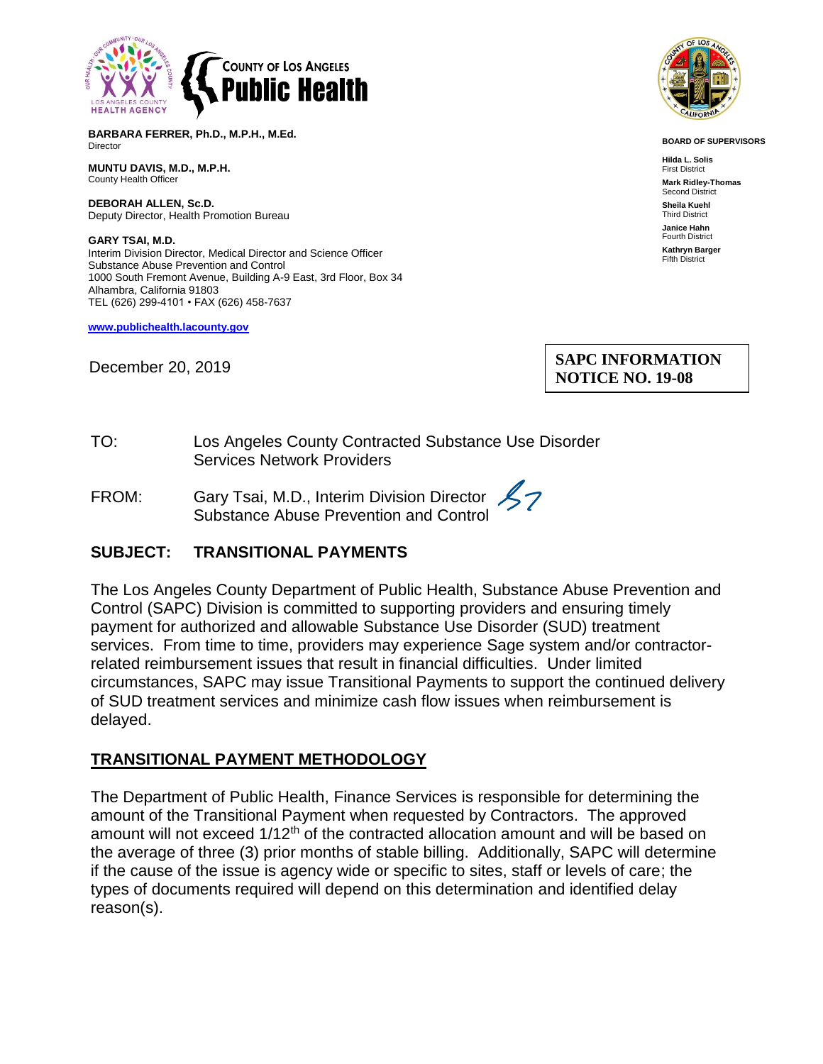

**BARBARA FERRER, Ph.D., M.P.H., M.Ed.** Director

**MUNTU DAVIS, M.D., M.P.H.** County Health Officer

**DEBORAH ALLEN, Sc.D.** Deputy Director, Health Promotion Bureau

**GARY TSAI, M.D.** Interim Division Director, Medical Director and Science Officer Substance Abuse Prevention and Control 1000 South Fremont Avenue, Building A-9 East, 3rd Floor, Box 34 Alhambra, California 91803 TEL (626) 299-4101 • FAX (626) 458-7637

**[www.publichealth.lacounty.gov](http://www.publichealth.lacounty.gov/)**

December 20, 2019



**BOARD OF SUPERVISORS**

**Hilda L. Solis** First District **Mark Ridley-Thomas** Second District **Sheila Kuehl** Third District **Janice Hahn** Fourth District **Kathryn Barger** Fifth District

## **SAPC INFORMATION NOTICE NO. 19-08**

- TO: Los Angeles County Contracted Substance Use Disorder Services Network Providers
- FROM: Gary Tsai, M.D., Interim Division Director Substance Abuse Prevention and Control

## **SUBJECT: TRANSITIONAL PAYMENTS**

The Los Angeles County Department of Public Health, Substance Abuse Prevention and Control (SAPC) Division is committed to supporting providers and ensuring timely payment for authorized and allowable Substance Use Disorder (SUD) treatment services. From time to time, providers may experience Sage system and/or contractorrelated reimbursement issues that result in financial difficulties. Under limited circumstances, SAPC may issue Transitional Payments to support the continued delivery of SUD treatment services and minimize cash flow issues when reimbursement is delayed.

## **TRANSITIONAL PAYMENT METHODOLOGY**

The Department of Public Health, Finance Services is responsible for determining the amount of the Transitional Payment when requested by Contractors. The approved amount will not exceed 1/12<sup>th</sup> of the contracted allocation amount and will be based on the average of three (3) prior months of stable billing. Additionally, SAPC will determine if the cause of the issue is agency wide or specific to sites, staff or levels of care; the types of documents required will depend on this determination and identified delay reason(s).